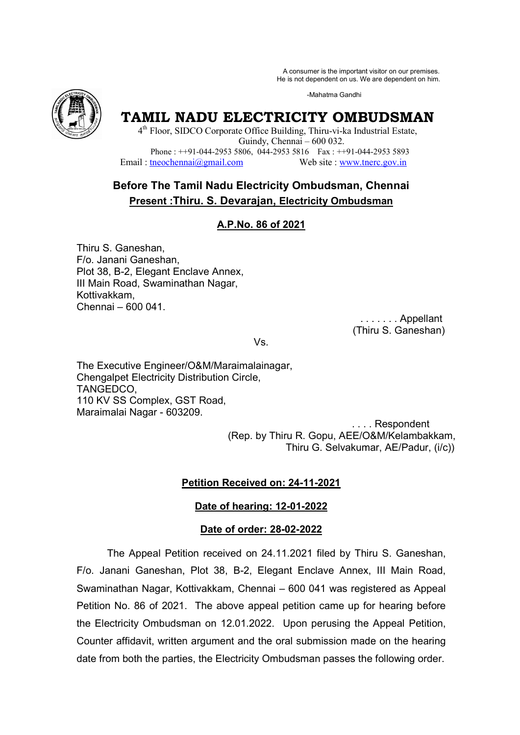A consumer is the important visitor on our premises. A consumer is the important visitor on our premises.<br>He is not dependent on us. We are dependent on him.

-Mahatma Gandhi



# **TAMIL NADU ELECTRICITY OMBUDSMAN**

4<sup>th</sup> Floor, SIDCO Corporate Office Building, Thiru-vi-ka Industrial Estate, Phone : ++91-044-2953 5806, 044-2953 5816 Fax : ++91-044-2953 5893 Email : tneochennai@gmail.com Guindy, Chennai – 600 032. Web site : www.tnerc.gov.in

# **Before The Ta Tamil Nadu Electricity Ombudsman, Chennai Present :Thiru. S. Devarajan, Electricity Ombudsman**

# **A.P.No. 86 of 2021**

Thiru S. Ganeshan, F/o. Janani Ganeshan, Plot 38, B-2, Elegant Enclave Annex, III Main Road, Swaminathan Nagar, Kottivakkam, Chennai – 600 041. 2, Elegant Enclave Annex,<br>pad, Swaminathan Nagar,<br>m,<br>600 041. . . . . . . . . . . . . . . Appellant

. . . . . . . . Appellant<br>(Thiru S. Ganeshan)

Vs.

The Executive Engineer/O&M/Maraimalainagar, Chengalpet Electricity Distribution Circle, TANGEDCO, 110 KV SS Complex, GST Road, Maraimalai Nagar - 603209.

> . . . . Respondent (Rep. by Thiru R. Gopu, AEE/O&M/Kelambakkam, Thiru G. Selvakumar, AE/Padur, (i/c))

# **Petition Received on: 24-11-2021**

# **Date of hearing: 12-01-2022**

# **Date of order: 28-02-2022**

The Appeal Petition Petition received on 24.11.2021 filed by Thiru S. Ganeshan, F/o. Janani Ganeshan, Plot 38, B-2, Elegant Enclave Annex, III Main Road, F/o. Janani Ganeshan, Plot 38, B-2, Elegant Enclave Annex, III Main Road,<br>Swaminathan Nagar, Kottivakkam, Chennai – 600 041 was registered as Appeal Petition No. 86 of 2021. The above appeal petition came up for hearing before the Electricity Ombudsman on 12.01.2022. Upon perusing the Appeal Petition, Counter affidavit, written argument and the oral submission made on the hearing Petition No. 86 of 2021. The above appeal petition came up for hearing before<br>the Electricity Ombudsman on 12.01.2022. Upon perusing the Appeal Petition<br>Counter affidavit, written argument and the oral submission made on t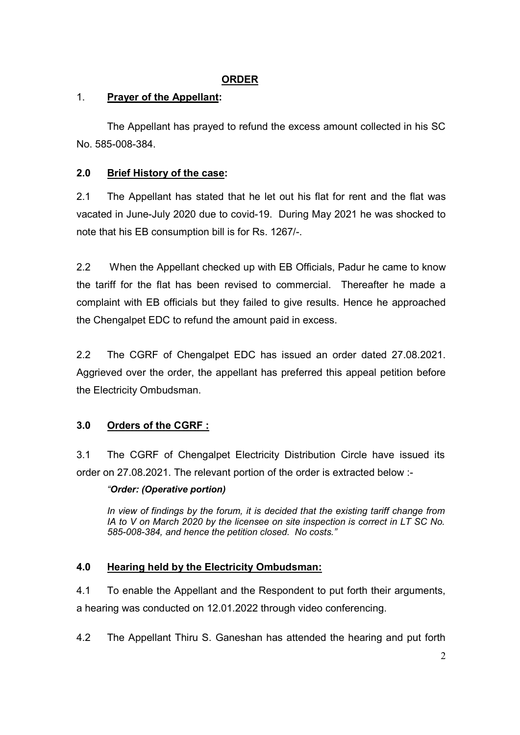# **ORDER**

# 1. **Prayer of the Appellant:**

The Appellant has prayed to refund the excess amount collected in his SC No. 585-008-384.

# **2.0 Brief History of the case:**

2.1 The Appellant has stated that he let out his flat for rent and the flat was vacated in June-July 2020 due to covid-19. During May 2021 he was shocked to note that his EB consumption bill is for Rs. 1267/-.

2.2 When the Appellant checked up with EB Officials, Padur he came to know the tariff for the flat has been revised to commercial. Thereafter he made a complaint with EB officials but they failed to give results. Hence he approached the Chengalpet EDC to refund the amount paid in excess.

2.2 The CGRF of Chengalpet EDC has issued an order dated 27.08.2021. Aggrieved over the order, the appellant has preferred this appeal petition before the Electricity Ombudsman.

# **3.0 Orders of the CGRF :**

3.1 The CGRF of Chengalpet Electricity Distribution Circle have issued its order on 27.08.2021. The relevant portion of the order is extracted below :-

# *"Order: (Operative portion)*

*In view of findings by the forum, it is decided that the existing tariff change from IA to V on March 2020 by the licensee on site inspection is correct in LT SC No. 585-008-384, and hence the petition closed. No costs."* 

# **4.0 Hearing held by the Electricity Ombudsman:**

4.1 To enable the Appellant and the Respondent to put forth their arguments, a hearing was conducted on 12.01.2022 through video conferencing.

4.2 The Appellant Thiru S. Ganeshan has attended the hearing and put forth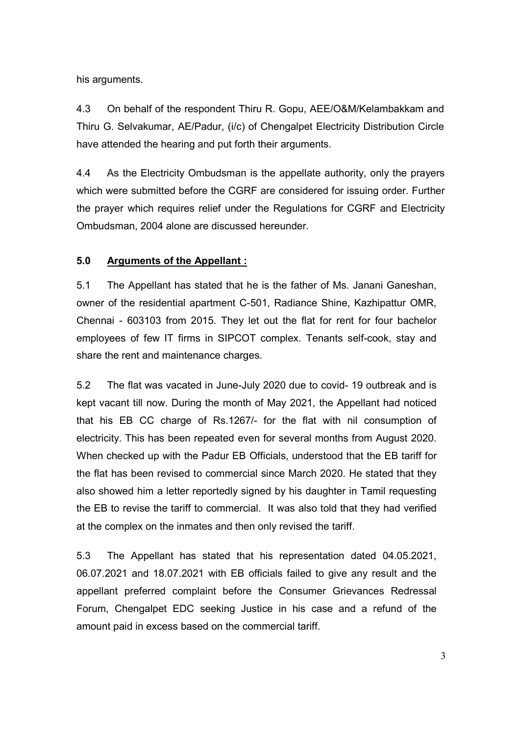his arguments.

4.3 On behalf of the respondent Thiru R. Gopu, AEE/O&M/Kelambakkam and Thiru G. Selvakumar, AE/Padur, (i/c) of Chengalpet Electricity Distribution Circle have attended the hearing and put forth their arguments.

4.4 As the Electricity Ombudsman is the appellate authority, only the prayers which were submitted before the CGRF are considered for issuing order. Further the prayer which requires relief under the Regulations for CGRF and Electricity Ombudsman, 2004 alone are discussed hereunder.

# **5.0 Arguments of the Appellant :**

5.1 The Appellant has stated that he is the father of Ms. Janani Ganeshan, owner of the residential apartment C-501, Radiance Shine, Kazhipattur OMR, Chennai - 603103 from 2015. They let out the flat for rent for four bachelor employees of few IT firms in SIPCOT complex. Tenants self-cook, stay and share the rent and maintenance charges.

5.2 The flat was vacated in June-July 2020 due to covid- 19 outbreak and is kept vacant till now. During the month of May 2021, the Appellant had noticed that his EB CC charge of Rs.1267/- for the flat with nil consumption of electricity. This has been repeated even for several months from August 2020. When checked up with the Padur EB Officials, understood that the EB tariff for the flat has been revised to commercial since March 2020. He stated that they also showed him a letter reportedly signed by his daughter in Tamil requesting the EB to revise the tariff to commercial. It was also told that they had verified at the complex on the inmates and then only revised the tariff.

5.3 The Appellant has stated that his representation dated 04.05.2021, 06.07.2021 and 18.07.2021 with EB officials failed to give any result and the appellant preferred complaint before the Consumer Grievances Redressal Forum, Chengalpet EDC seeking Justice in his case and a refund of the amount paid in excess based on the commercial tariff.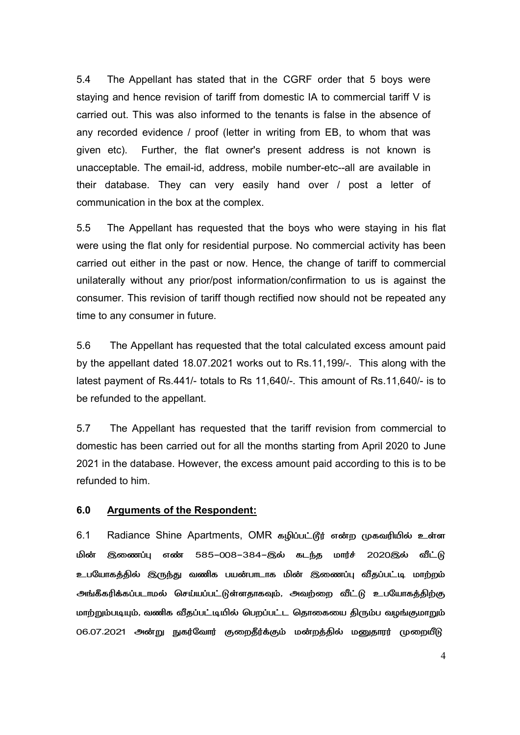5.4 The Appellant has stated that in the CGRF order that 5 boys were staying and hence revision of tariff from domestic IA to commercial tariff V is carried out. This was also informed to the tenants is false in the absence of any recorded evidence / proof (letter in writing from EB, to whom that was given etc). Further, the flat owner's present address is not known is unacceptable. The email-id, address, mobile number-etc--all are available in their database. They can very easily hand over / post a letter of communication in the box at the complex.

5.5 The Appellant has requested that the boys who were staying in his flat were using the flat only for residential purpose. No commercial activity has been carried out either in the past or now. Hence, the change of tariff to commercial unilaterally without any prior/post information/confirmation to us is against the consumer. This revision of tariff though rectified now should not be repeated any time to any consumer in future.

5.6 The Appellant has requested that the total calculated excess amount paid by the appellant dated 18.07.2021 works out to Rs.11,199/-. This along with the latest payment of Rs.441/- totals to Rs 11,640/-. This amount of Rs.11,640/- is to be refunded to the appellant.

5.7 The Appellant has requested that the tariff revision from commercial to domestic has been carried out for all the months starting from April 2020 to June 2021 in the database. However, the excess amount paid according to this is to be refunded to him.

### **6.0 Arguments of the Respondent:**

6.1 Radiance Shine Apartments, OMR கழிப்பட்டூர் என்ற முகவரியில் உள்ள மின் இணைப்பு எண் 585-008-384-இல் கடந்த மார்ச் 2020இல் வீட்டு உபயோகத்தில் இருந்து வணிக பயன்பாடாக மின் இணைப்பு வீதப்பட்டி மாற்றம் அங்கீகரிக்கப்படாமல் செய்யப்பட்டுள்ளதாகவும், அவற்றை வீட்டு உபயோகத்திற்கு மாற்றும்படியும், வணிக வீதப்பட்டியில் பெறப்பட்ட தொகையை திரும்ப வழங்குமாறும் 06.07.2021 அன்று நுகர்வோர் குறைதீர்க்கும் மன்றத்தில் மனுதாரர் முறையீடு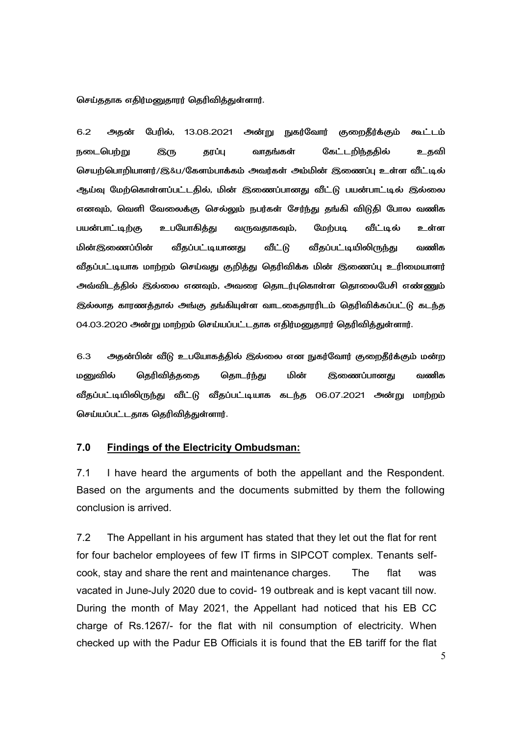செய்ததாக எதிர்மனுதாரர் தெரிவித்துள்ளார்.

6.2 அகன் பேரில். 13.08.2021 அன்று நுகர்வோர் குறைகீர்க்கும் கூட்டம் நடைபெற்று இரு தரப்பு வாதங்கள் கேட்டறிந்ததில் உதவி செயற்பொறியாளர்/இ&ப/கேளம்பாக்கம் அவர்கள் அம்மின் இணைப்பு உள்ள வீட்டில் ஆய்வு மேற்கொள்ளப்பட்டதில், மின் இணைப்பானது வீட்டு பயன்பாட்டில் இல்லை எனவும், வெளி வேலைக்கு செல்லும் நபர்கள் சேர்ந்து தங்கி விடுதி போல வணிக பயன்பாட்டிற்கு உபயோகிக்கு வருவகாகவம். மேற்படி வீட்டில் உள்ள மின்இணைப்பின் வீதப்பட்டியானது வீட்டு வீதப்பட்டியிலிருந்து வணிக வீதப்பட்டியாக மாற்றம் செய்வது குறித்து தெரிவிக்க மின் இணைப்பு உரிமையாளர் அவ்விடத்தில் இல்லை எனவும், அவரை தொடர்புகொள்ள தொலைபேசி எண்ணும் இல்லாத காரணத்தால் அங்கு தங்கியுள்ள வாடகைதாரரிடம் தெரிவிக்கப்பட்டு கடந்த 04.03.2020 அன்று மாற்றம் செய்யப்பட்டதாக எதிர்மனுதாரர் தெரிவித்துள்ளார்.

6.3 அதன்பின் வீடு உபயோகத்தில் இல்லை என நுகர்வோர் குறைதீர்க்கும் மன்ற மனுவில் தெரிவித்ததை தொடர்ந்து மின் இணைப்பானது வணிக வீதப்பட்டியிலிருந்து வீட்டு வீதப்பட்டியாக கடந்த 06.07.2021 அன்று மாற்றம் செய்யப்பட்டதாக தெரிவித்துள்ளார்.

#### **7.0 Findings of the Electricity Ombudsman:**

7.1 I have heard the arguments of both the appellant and the Respondent. Based on the arguments and the documents submitted by them the following conclusion is arrived.

7.2 The Appellant in his argument has stated that they let out the flat for rent for four bachelor employees of few IT firms in SIPCOT complex. Tenants selfcook, stay and share the rent and maintenance charges. The flat was vacated in June-July 2020 due to covid- 19 outbreak and is kept vacant till now. During the month of May 2021, the Appellant had noticed that his EB CC charge of Rs.1267/- for the flat with nil consumption of electricity. When checked up with the Padur EB Officials it is found that the EB tariff for the flat

5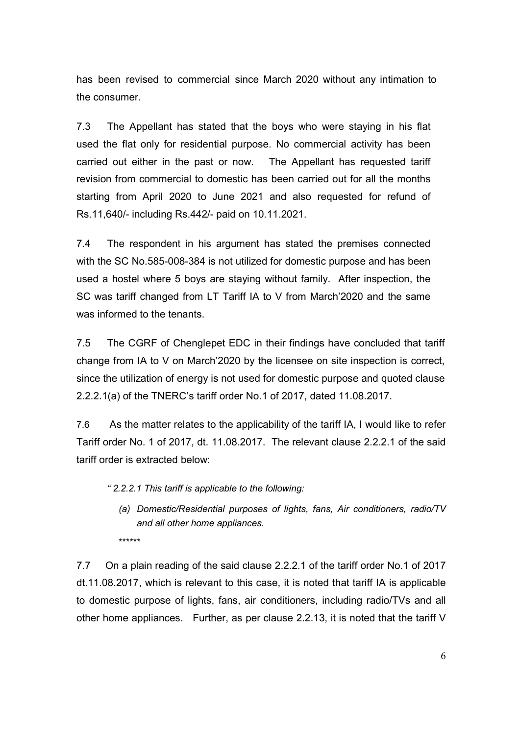has been revised to commercial since March 2020 without any intimation to the consumer.

7.3 The Appellant has stated that the boys who were staying in his flat used the flat only for residential purpose. No commercial activity has been carried out either in the past or now. The Appellant has requested tariff revision from commercial to domestic has been carried out for all the months starting from April 2020 to June 2021 and also requested for refund of Rs.11,640/- including Rs.442/- paid on 10.11.2021.

7.4 The respondent in his argument has stated the premises connected with the SC No.585-008-384 is not utilized for domestic purpose and has been used a hostel where 5 boys are staying without family. After inspection, the SC was tariff changed from LT Tariff IA to V from March'2020 and the same was informed to the tenants.

7.5 The CGRF of Chenglepet EDC in their findings have concluded that tariff change from IA to V on March'2020 by the licensee on site inspection is correct, since the utilization of energy is not used for domestic purpose and quoted clause 2.2.2.1(a) of the TNERC's tariff order No.1 of 2017, dated 11.08.2017.

7.6 As the matter relates to the applicability of the tariff IA, I would like to refer Tariff order No. 1 of 2017, dt. 11.08.2017. The relevant clause 2.2.2.1 of the said tariff order is extracted below:

*" 2.2.2.1 This tariff is applicable to the following:* 

*(a) Domestic/Residential purposes of lights, fans, Air conditioners, radio/TV and all other home appliances.*  \*\*\*\*\*\*

7.7 On a plain reading of the said clause 2.2.2.1 of the tariff order No.1 of 2017 dt.11.08.2017, which is relevant to this case, it is noted that tariff IA is applicable to domestic purpose of lights, fans, air conditioners, including radio/TVs and all other home appliances. Further, as per clause 2.2.13, it is noted that the tariff V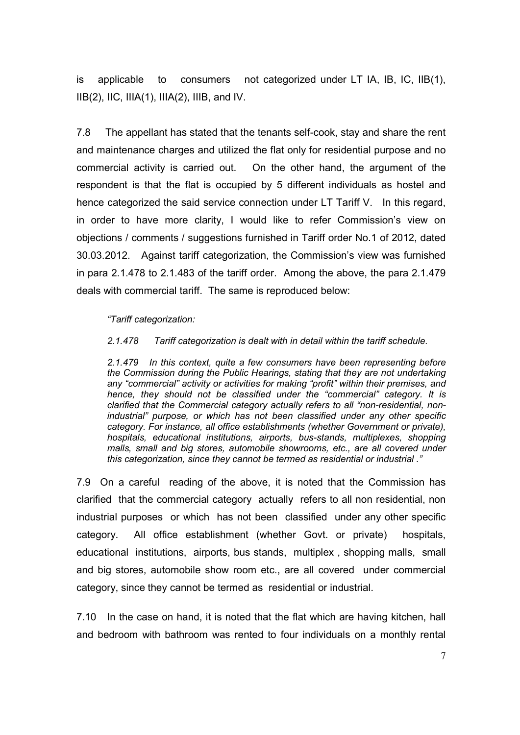is applicable to consumers not categorized under LT IA, IB, IC, IIB(1),  $IIB(2)$ , IIC, IIIA(1), IIIA(2), IIIB, and IV.

7.8 The appellant has stated that the tenants self-cook, stay and share the rent and maintenance charges and utilized the flat only for residential purpose and no commercial activity is carried out. On the other hand, the argument of the respondent is that the flat is occupied by 5 different individuals as hostel and hence categorized the said service connection under LT Tariff V. In this regard, in order to have more clarity, I would like to refer Commission's view on objections / comments / suggestions furnished in Tariff order No.1 of 2012, dated 30.03.2012. Against tariff categorization, the Commission's view was furnished in para 2.1.478 to 2.1.483 of the tariff order. Among the above, the para 2.1.479 deals with commercial tariff. The same is reproduced below:

### *"Tariff categorization:*

#### *2.1.478 Tariff categorization is dealt with in detail within the tariff schedule.*

*2.1.479 In this context, quite a few consumers have been representing before the Commission during the Public Hearings, stating that they are not undertaking any "commercial" activity or activities for making "profit" within their premises, and hence, they should not be classified under the "commercial" category. It is clarified that the Commercial category actually refers to all "non-residential, nonindustrial" purpose, or which has not been classified under any other specific category. For instance, all office establishments (whether Government or private), hospitals, educational institutions, airports, bus-stands, multiplexes, shopping malls, small and big stores, automobile showrooms, etc., are all covered under this categorization, since they cannot be termed as residential or industrial ."* 

7.9 On a careful reading of the above, it is noted that the Commission has clarified that the commercial category actually refers to all non residential, non industrial purposes or which has not been classified under any other specific category. All office establishment (whether Govt. or private) hospitals, educational institutions, airports, bus stands, multiplex , shopping malls, small and big stores, automobile show room etc., are all covered under commercial category, since they cannot be termed as residential or industrial.

7.10 In the case on hand, it is noted that the flat which are having kitchen, hall and bedroom with bathroom was rented to four individuals on a monthly rental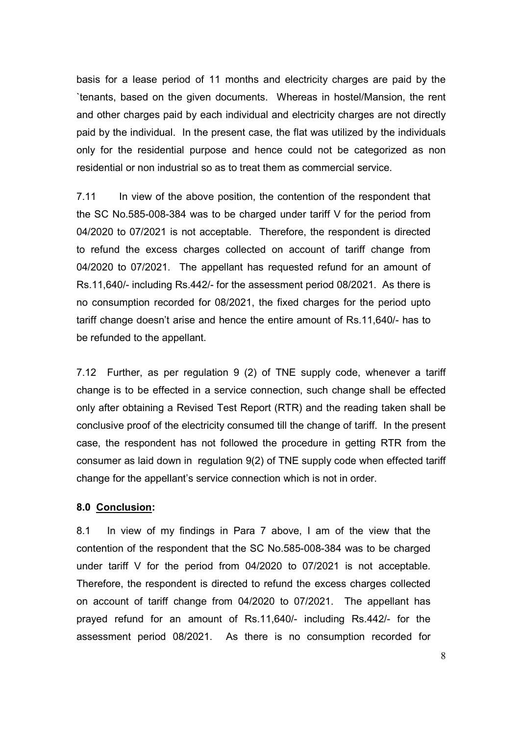basis for a lease period of 11 months and electricity charges are paid by the `tenants, based on the given documents. Whereas in hostel/Mansion, the rent and other charges paid by each individual and electricity charges are not directly paid by the individual. In the present case, the flat was utilized by the individuals only for the residential purpose and hence could not be categorized as non residential or non industrial so as to treat them as commercial service.

7.11 In view of the above position, the contention of the respondent that the SC No.585-008-384 was to be charged under tariff V for the period from 04/2020 to 07/2021 is not acceptable. Therefore, the respondent is directed to refund the excess charges collected on account of tariff change from 04/2020 to 07/2021. The appellant has requested refund for an amount of Rs.11,640/- including Rs.442/- for the assessment period 08/2021. As there is no consumption recorded for 08/2021, the fixed charges for the period upto tariff change doesn't arise and hence the entire amount of Rs.11,640/- has to be refunded to the appellant.

7.12 Further, as per regulation 9 (2) of TNE supply code, whenever a tariff change is to be effected in a service connection, such change shall be effected only after obtaining a Revised Test Report (RTR) and the reading taken shall be conclusive proof of the electricity consumed till the change of tariff. In the present case, the respondent has not followed the procedure in getting RTR from the consumer as laid down in regulation 9(2) of TNE supply code when effected tariff change for the appellant's service connection which is not in order.

### **8.0 Conclusion:**

8.1 In view of my findings in Para 7 above, I am of the view that the contention of the respondent that the SC No.585-008-384 was to be charged under tariff V for the period from 04/2020 to 07/2021 is not acceptable. Therefore, the respondent is directed to refund the excess charges collected on account of tariff change from 04/2020 to 07/2021. The appellant has prayed refund for an amount of Rs.11,640/- including Rs.442/- for the assessment period 08/2021. As there is no consumption recorded for